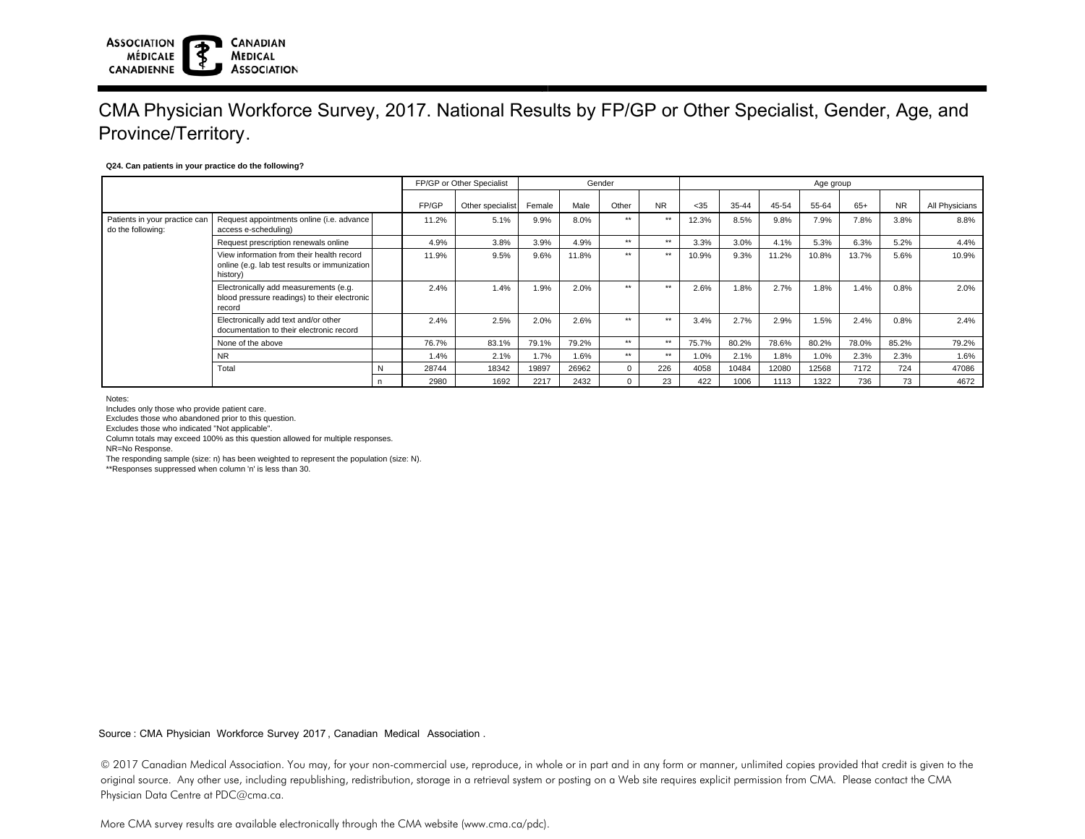### **ASSOCIATION CANADIAN MÉDICALE MEDICAL ASSOCIATION CANADIENNE**

## CMA Physician Workforce Survey, 2017. National Results by FP/GP or Other Specialist, Gender, Age, and Province/Territory.

### **Q24. Can patients in your practice do the following?**

|                                                    |                                                                                                        | FP/GP or Other Specialist |       | Gender           |        |       |       | Age group |       |       |       |       |       |           |                |
|----------------------------------------------------|--------------------------------------------------------------------------------------------------------|---------------------------|-------|------------------|--------|-------|-------|-----------|-------|-------|-------|-------|-------|-----------|----------------|
|                                                    |                                                                                                        |                           | FP/GP | Other specialist | Female | Male  | Other | <b>NR</b> | $35$  | 35-44 | 45-54 | 55-64 | $65+$ | <b>NR</b> | All Physicians |
| Patients in your practice can<br>do the following: | Request appointments online (i.e. advance<br>access e-scheduling)                                      |                           | 11.2% | 5.1%             | 9.9%   | 8.0%  | $**$  | $***$     | 12.3% | 8.5%  | 9.8%  | 7.9%  | 7.8%  | 3.8%      | 8.8%           |
|                                                    | Request prescription renewals online                                                                   |                           | 4.9%  | 3.8%             | 3.9%   | 4.9%  | $***$ | $***$     | 3.3%  | 3.0%  | 4.1%  | 5.3%  | 6.3%  | 5.2%      | 4.4%           |
|                                                    | View information from their health record<br>online (e.g. lab test results or immunization<br>history) |                           | 11.9% | 9.5%             | 9.6%   | 11.8% | $**$  | $**$      | 10.9% | 9.3%  | 11.2% | 10.8% | 13.7% | 5.6%      | 10.9%          |
|                                                    | Electronically add measurements (e.g.<br>blood pressure readings) to their electronic<br>record        |                           | 2.4%  | 1.4%             | 1.9%   | 2.0%  | $***$ | $***$     | 2.6%  | 1.8%  | 2.7%  | 1.8%  | 1.4%  | 0.8%      | 2.0%           |
|                                                    | Electronically add text and/or other<br>documentation to their electronic record                       |                           | 2.4%  | 2.5%             | 2.0%   | 2.6%  | $***$ | $***$     | 3.4%  | 2.7%  | 2.9%  | 1.5%  | 2.4%  | 0.8%      | 2.4%           |
|                                                    | None of the above                                                                                      |                           | 76.7% | 83.1%            | 79.1%  | 79.2% | $**$  | $***$     | 75.7% | 80.2% | 78.6% | 80.2% | 78.0% | 85.2%     | 79.2%          |
|                                                    | <b>NR</b>                                                                                              |                           | 1.4%  | 2.1%             | 1.7%   | 1.6%  | $**$  | $**$      | 1.0%  | 2.1%  | 1.8%  | 1.0%  | 2.3%  | 2.3%      | 1.6%           |
|                                                    | Total                                                                                                  | N                         | 28744 | 18342            | 19897  | 26962 | 0     | 226       | 4058  | 10484 | 12080 | 12568 | 7172  | 724       | 47086          |
|                                                    |                                                                                                        |                           | 2980  | 1692             | 2217   | 2432  |       | 23        | 422   | 1006  | 1113  | 1322  | 736   | 73        | 4672           |

Notes:

Includes only those who provide patient care.

Excludes those who abandoned prior to this question.

Excludes those who indicated "Not applicable".

Column totals may exceed 100% as this question allowed for multiple responses.

NR=No Response.

The responding sample (size: n) has been weighted to represent the population (size: N).

\*\*Responses suppressed when column 'n' is less than 30.

Source : CMA Physician Workforce Survey 2017, Canadian Medical Association .

© 2017 Canadian Medical Association. You may, for your non-commercial use, reproduce, in whole or in part and in any form or manner, unlimited copies provided that credit is given to the original source. Any other use, including republishing, redistribution, storage in a retrieval system or posting on a Web site requires explicit permission from CMA. Please contact the CMA Physician Data Centre at PDC@cma.ca.

More CMA survey results are available electronically through the CMA website (www.cma.ca/pdc).